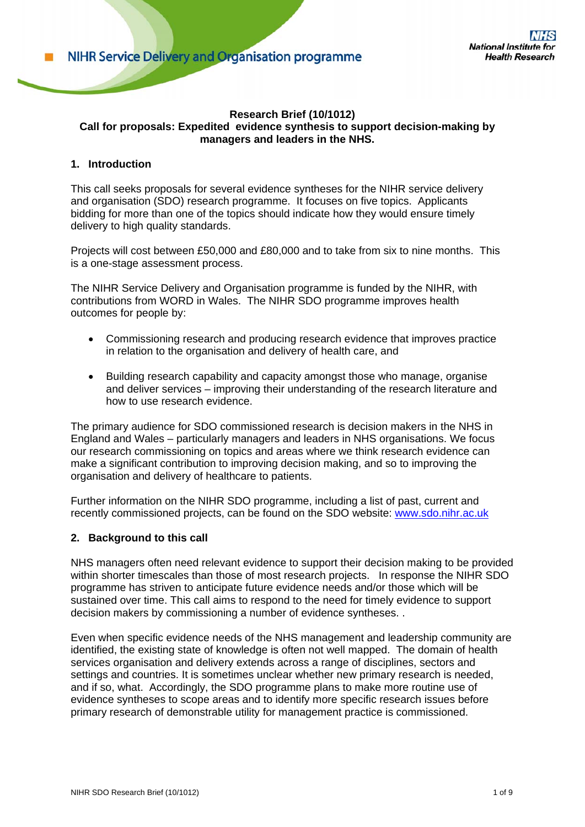## **Research Brief (10/1012) Call for proposals: Expedited evidence synthesis to support decision-making by managers and leaders in the NHS.**

# **1. Introduction**

This call seeks proposals for several evidence syntheses for the NIHR service delivery and organisation (SDO) research programme. It focuses on five topics. Applicants bidding for more than one of the topics should indicate how they would ensure timely delivery to high quality standards.

Projects will cost between £50,000 and £80,000 and to take from six to nine months. This is a one-stage assessment process.

The NIHR Service Delivery and Organisation programme is funded by the NIHR, with contributions from WORD in Wales. The NIHR SDO programme improves health outcomes for people by:

- Commissioning research and producing research evidence that improves practice in relation to the organisation and delivery of health care, and
- Building research capability and capacity amongst those who manage, organise and deliver services – improving their understanding of the research literature and how to use research evidence.

The primary audience for SDO commissioned research is decision makers in the NHS in England and Wales – particularly managers and leaders in NHS organisations. We focus our research commissioning on topics and areas where we think research evidence can make a significant contribution to improving decision making, and so to improving the organisation and delivery of healthcare to patients.

Further information on the NIHR SDO programme, including a list of past, current and recently commissioned projects, can be found on the SDO website: www.sdo.nihr.ac.uk

#### **2. Background to this call**

NHS managers often need relevant evidence to support their decision making to be provided within shorter timescales than those of most research projects. In response the NIHR SDO programme has striven to anticipate future evidence needs and/or those which will be sustained over time. This call aims to respond to the need for timely evidence to support decision makers by commissioning a number of evidence syntheses. .

Even when specific evidence needs of the NHS management and leadership community are identified, the existing state of knowledge is often not well mapped. The domain of health services organisation and delivery extends across a range of disciplines, sectors and settings and countries. It is sometimes unclear whether new primary research is needed, and if so, what. Accordingly, the SDO programme plans to make more routine use of evidence syntheses to scope areas and to identify more specific research issues before primary research of demonstrable utility for management practice is commissioned.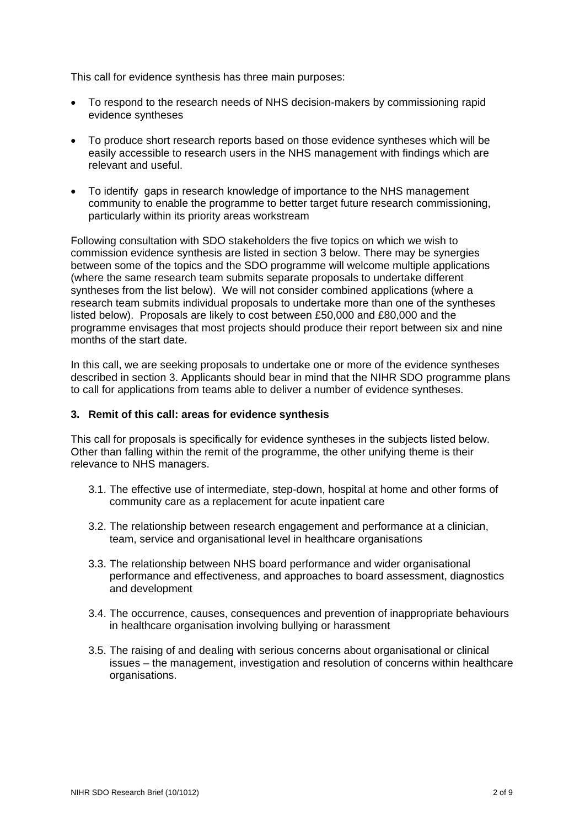This call for evidence synthesis has three main purposes:

- To respond to the research needs of NHS decision-makers by commissioning rapid evidence syntheses
- To produce short research reports based on those evidence syntheses which will be easily accessible to research users in the NHS management with findings which are relevant and useful.
- To identify gaps in research knowledge of importance to the NHS management community to enable the programme to better target future research commissioning, particularly within its priority areas workstream

Following consultation with SDO stakeholders the five topics on which we wish to commission evidence synthesis are listed in section 3 below. There may be synergies between some of the topics and the SDO programme will welcome multiple applications (where the same research team submits separate proposals to undertake different syntheses from the list below). We will not consider combined applications (where a research team submits individual proposals to undertake more than one of the syntheses listed below). Proposals are likely to cost between £50,000 and £80,000 and the programme envisages that most projects should produce their report between six and nine months of the start date.

In this call, we are seeking proposals to undertake one or more of the evidence syntheses described in section 3. Applicants should bear in mind that the NIHR SDO programme plans to call for applications from teams able to deliver a number of evidence syntheses.

## **3. Remit of this call: areas for evidence synthesis**

This call for proposals is specifically for evidence syntheses in the subjects listed below. Other than falling within the remit of the programme, the other unifying theme is their relevance to NHS managers.

- 3.1. The effective use of intermediate, step-down, hospital at home and other forms of community care as a replacement for acute inpatient care
- 3.2. The relationship between research engagement and performance at a clinician, team, service and organisational level in healthcare organisations
- 3.3. The relationship between NHS board performance and wider organisational performance and effectiveness, and approaches to board assessment, diagnostics and development
- 3.4. The occurrence, causes, consequences and prevention of inappropriate behaviours in healthcare organisation involving bullying or harassment
- 3.5. The raising of and dealing with serious concerns about organisational or clinical issues – the management, investigation and resolution of concerns within healthcare organisations.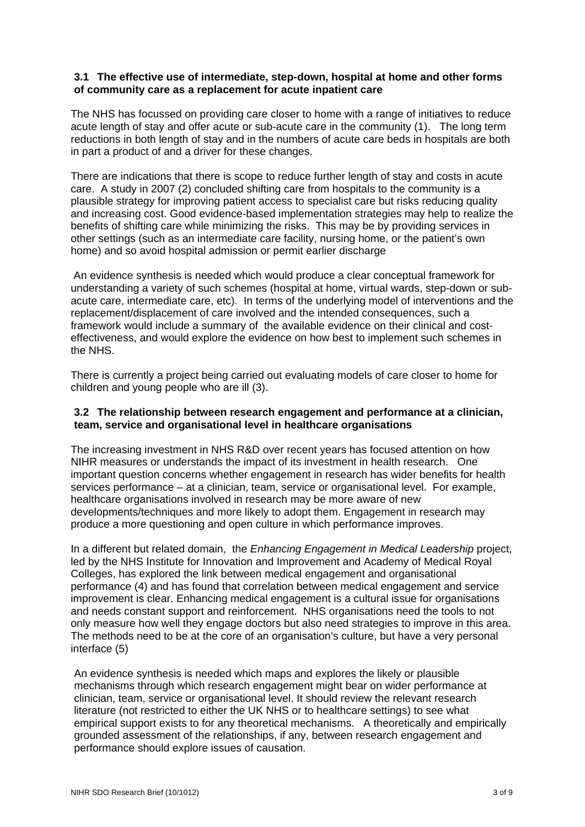### **3.1 The effective use of intermediate, step-down, hospital at home and other forms of community care as a replacement for acute inpatient care**

The NHS has focussed on providing care closer to home with a range of initiatives to reduce acute length of stay and offer acute or sub-acute care in the community (1). The long term reductions in both length of stay and in the numbers of acute care beds in hospitals are both in part a product of and a driver for these changes.

There are indications that there is scope to reduce further length of stay and costs in acute care. A study in 2007 (2) concluded shifting care from hospitals to the community is a plausible strategy for improving patient access to specialist care but risks reducing quality and increasing cost. Good evidence-based implementation strategies may help to realize the benefits of shifting care while minimizing the risks. This may be by providing services in other settings (such as an intermediate care facility, nursing home, or the patient's own home) and so avoid hospital admission or permit earlier discharge

 An evidence synthesis is needed which would produce a clear conceptual framework for understanding a variety of such schemes (hospital at home, virtual wards, step-down or subacute care, intermediate care, etc). In terms of the underlying model of interventions and the replacement/displacement of care involved and the intended consequences, such a framework would include a summary of the available evidence on their clinical and costeffectiveness, and would explore the evidence on how best to implement such schemes in the NHS.

There is currently a project being carried out evaluating models of care closer to home for children and young people who are ill (3).

### **3.2 The relationship between research engagement and performance at a clinician, team, service and organisational level in healthcare organisations**

The increasing investment in NHS R&D over recent years has focused attention on how NIHR measures or understands the impact of its investment in health research. One important question concerns whether engagement in research has wider benefits for health services performance – at a clinician, team, service or organisational level. For example, healthcare organisations involved in research may be more aware of new developments/techniques and more likely to adopt them. Engagement in research may produce a more questioning and open culture in which performance improves.

In a different but related domain, the *Enhancing Engagement in Medical Leadership* project, led by the NHS Institute for Innovation and Improvement and Academy of Medical Royal Colleges, has explored the link between medical engagement and organisational performance (4) and has found that correlation between medical engagement and service improvement is clear. Enhancing medical engagement is a cultural issue for organisations and needs constant support and reinforcement. NHS organisations need the tools to not only measure how well they engage doctors but also need strategies to improve in this area. The methods need to be at the core of an organisation's culture, but have a very personal interface (5)

An evidence synthesis is needed which maps and explores the likely or plausible mechanisms through which research engagement might bear on wider performance at clinician, team, service or organisational level. It should review the relevant research literature (not restricted to either the UK NHS or to healthcare settings) to see what empirical support exists to for any theoretical mechanisms. A theoretically and empirically grounded assessment of the relationships, if any, between research engagement and performance should explore issues of causation.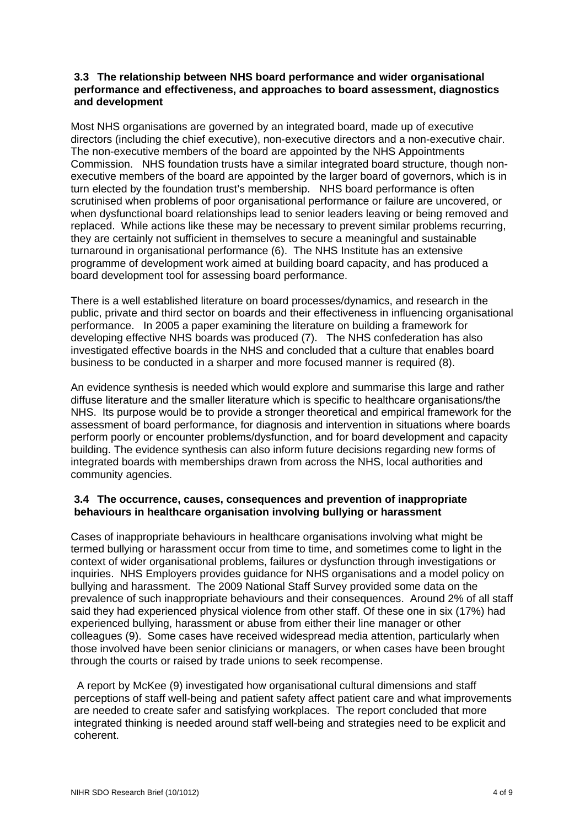## **3.3 The relationship between NHS board performance and wider organisational performance and effectiveness, and approaches to board assessment, diagnostics and development**

Most NHS organisations are governed by an integrated board, made up of executive directors (including the chief executive), non-executive directors and a non-executive chair. The non-executive members of the board are appointed by the NHS Appointments Commission. NHS foundation trusts have a similar integrated board structure, though nonexecutive members of the board are appointed by the larger board of governors, which is in turn elected by the foundation trust's membership. NHS board performance is often scrutinised when problems of poor organisational performance or failure are uncovered, or when dysfunctional board relationships lead to senior leaders leaving or being removed and replaced. While actions like these may be necessary to prevent similar problems recurring, they are certainly not sufficient in themselves to secure a meaningful and sustainable turnaround in organisational performance (6). The NHS Institute has an extensive programme of development work aimed at building board capacity, and has produced a board development tool for assessing board performance.

There is a well established literature on board processes/dynamics, and research in the public, private and third sector on boards and their effectiveness in influencing organisational performance. In 2005 a paper examining the literature on building a framework for developing effective NHS boards was produced (7). The NHS confederation has also investigated effective boards in the NHS and concluded that a culture that enables board business to be conducted in a sharper and more focused manner is required (8).

An evidence synthesis is needed which would explore and summarise this large and rather diffuse literature and the smaller literature which is specific to healthcare organisations/the NHS. Its purpose would be to provide a stronger theoretical and empirical framework for the assessment of board performance, for diagnosis and intervention in situations where boards perform poorly or encounter problems/dysfunction, and for board development and capacity building. The evidence synthesis can also inform future decisions regarding new forms of integrated boards with memberships drawn from across the NHS, local authorities and community agencies.

# **3.4 The occurrence, causes, consequences and prevention of inappropriate behaviours in healthcare organisation involving bullying or harassment**

Cases of inappropriate behaviours in healthcare organisations involving what might be termed bullying or harassment occur from time to time, and sometimes come to light in the context of wider organisational problems, failures or dysfunction through investigations or inquiries. NHS Employers provides guidance for NHS organisations and a model policy on bullying and harassment. The 2009 National Staff Survey provided some data on the prevalence of such inappropriate behaviours and their consequences. Around 2% of all staff said they had experienced physical violence from other staff. Of these one in six (17%) had experienced bullying, harassment or abuse from either their line manager or other colleagues (9). Some cases have received widespread media attention, particularly when those involved have been senior clinicians or managers, or when cases have been brought through the courts or raised by trade unions to seek recompense.

 A report by McKee (9) investigated how organisational cultural dimensions and staff perceptions of staff well-being and patient safety affect patient care and what improvements are needed to create safer and satisfying workplaces. The report concluded that more integrated thinking is needed around staff well-being and strategies need to be explicit and coherent.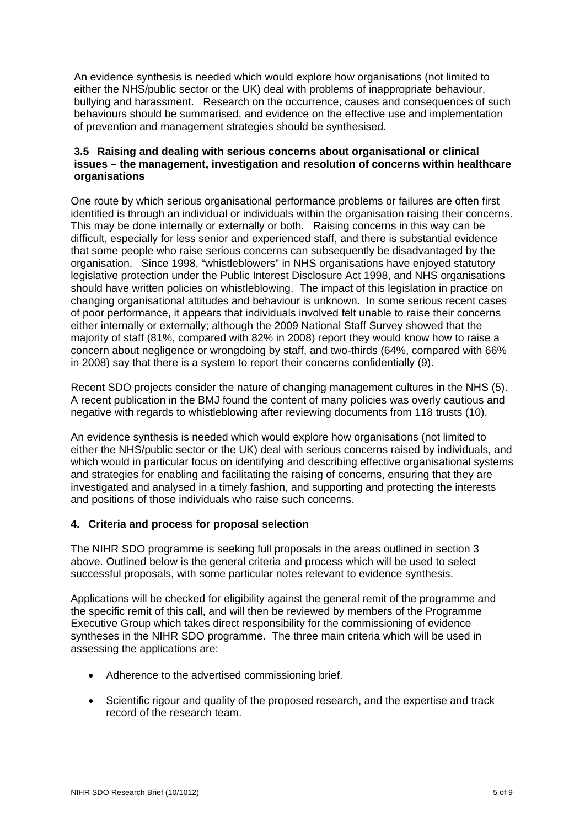An evidence synthesis is needed which would explore how organisations (not limited to either the NHS/public sector or the UK) deal with problems of inappropriate behaviour, bullying and harassment. Research on the occurrence, causes and consequences of such behaviours should be summarised, and evidence on the effective use and implementation of prevention and management strategies should be synthesised.

## **3.5 Raising and dealing with serious concerns about organisational or clinical issues – the management, investigation and resolution of concerns within healthcare organisations**

One route by which serious organisational performance problems or failures are often first identified is through an individual or individuals within the organisation raising their concerns. This may be done internally or externally or both. Raising concerns in this way can be difficult, especially for less senior and experienced staff, and there is substantial evidence that some people who raise serious concerns can subsequently be disadvantaged by the organisation. Since 1998, "whistleblowers" in NHS organisations have enjoyed statutory legislative protection under the Public Interest Disclosure Act 1998, and NHS organisations should have written policies on whistleblowing. The impact of this legislation in practice on changing organisational attitudes and behaviour is unknown. In some serious recent cases of poor performance, it appears that individuals involved felt unable to raise their concerns either internally or externally; although the 2009 National Staff Survey showed that the majority of staff (81%, compared with 82% in 2008) report they would know how to raise a concern about negligence or wrongdoing by staff, and two-thirds (64%, compared with 66% in 2008) say that there is a system to report their concerns confidentially (9).

Recent SDO projects consider the nature of changing management cultures in the NHS (5). A recent publication in the BMJ found the content of many policies was overly cautious and negative with regards to whistleblowing after reviewing documents from 118 trusts (10).

An evidence synthesis is needed which would explore how organisations (not limited to either the NHS/public sector or the UK) deal with serious concerns raised by individuals, and which would in particular focus on identifying and describing effective organisational systems and strategies for enabling and facilitating the raising of concerns, ensuring that they are investigated and analysed in a timely fashion, and supporting and protecting the interests and positions of those individuals who raise such concerns.

# **4. Criteria and process for proposal selection**

The NIHR SDO programme is seeking full proposals in the areas outlined in section 3 above. Outlined below is the general criteria and process which will be used to select successful proposals, with some particular notes relevant to evidence synthesis.

Applications will be checked for eligibility against the general remit of the programme and the specific remit of this call, and will then be reviewed by members of the Programme Executive Group which takes direct responsibility for the commissioning of evidence syntheses in the NIHR SDO programme. The three main criteria which will be used in assessing the applications are:

- Adherence to the advertised commissioning brief.
- Scientific rigour and quality of the proposed research, and the expertise and track record of the research team.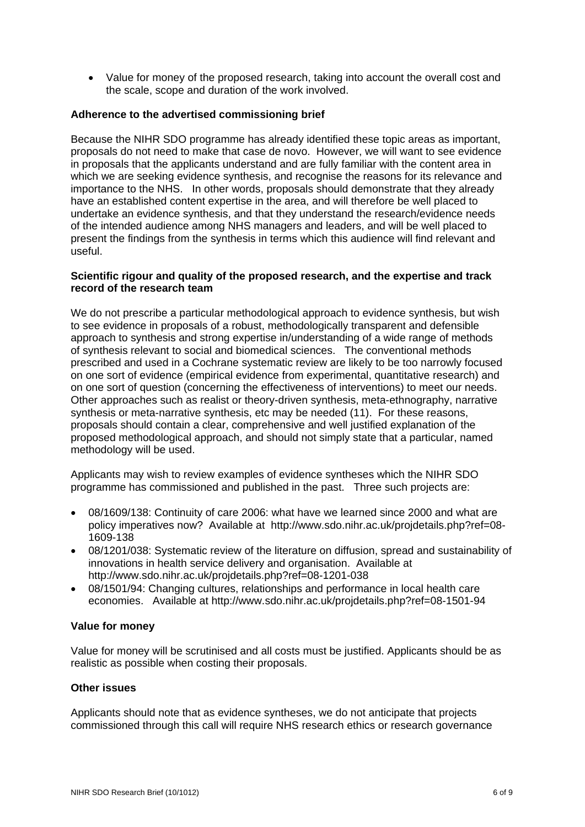• Value for money of the proposed research, taking into account the overall cost and the scale, scope and duration of the work involved.

### **Adherence to the advertised commissioning brief**

Because the NIHR SDO programme has already identified these topic areas as important, proposals do not need to make that case de novo. However, we will want to see evidence in proposals that the applicants understand and are fully familiar with the content area in which we are seeking evidence synthesis, and recognise the reasons for its relevance and importance to the NHS. In other words, proposals should demonstrate that they already have an established content expertise in the area, and will therefore be well placed to undertake an evidence synthesis, and that they understand the research/evidence needs of the intended audience among NHS managers and leaders, and will be well placed to present the findings from the synthesis in terms which this audience will find relevant and useful.

#### **Scientific rigour and quality of the proposed research, and the expertise and track record of the research team**

We do not prescribe a particular methodological approach to evidence synthesis, but wish to see evidence in proposals of a robust, methodologically transparent and defensible approach to synthesis and strong expertise in/understanding of a wide range of methods of synthesis relevant to social and biomedical sciences. The conventional methods prescribed and used in a Cochrane systematic review are likely to be too narrowly focused on one sort of evidence (empirical evidence from experimental, quantitative research) and on one sort of question (concerning the effectiveness of interventions) to meet our needs. Other approaches such as realist or theory-driven synthesis, meta-ethnography, narrative synthesis or meta-narrative synthesis, etc may be needed (11). For these reasons, proposals should contain a clear, comprehensive and well justified explanation of the proposed methodological approach, and should not simply state that a particular, named methodology will be used.

Applicants may wish to review examples of evidence syntheses which the NIHR SDO programme has commissioned and published in the past. Three such projects are:

- 08/1609/138: Continuity of care 2006: what have we learned since 2000 and what are policy imperatives now? Available at http://www.sdo.nihr.ac.uk/projdetails.php?ref=08- 1609-138
- 08/1201/038: Systematic review of the literature on diffusion, spread and sustainability of innovations in health service delivery and organisation. Available at http://www.sdo.nihr.ac.uk/projdetails.php?ref=08-1201-038
- 08/1501/94: Changing cultures, relationships and performance in local health care economies. Available at http://www.sdo.nihr.ac.uk/projdetails.php?ref=08-1501-94

#### **Value for money**

Value for money will be scrutinised and all costs must be justified. Applicants should be as realistic as possible when costing their proposals.

#### **Other issues**

Applicants should note that as evidence syntheses, we do not anticipate that projects commissioned through this call will require NHS research ethics or research governance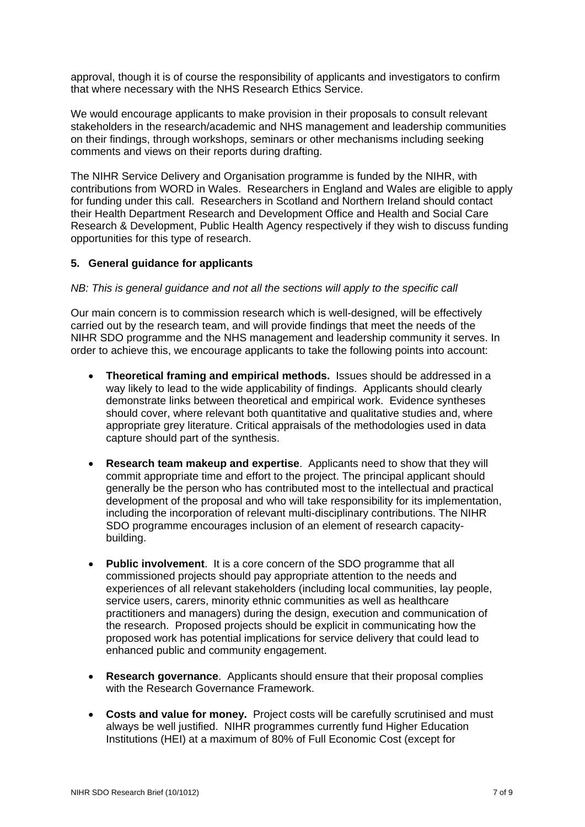approval, though it is of course the responsibility of applicants and investigators to confirm that where necessary with the NHS Research Ethics Service.

We would encourage applicants to make provision in their proposals to consult relevant stakeholders in the research/academic and NHS management and leadership communities on their findings, through workshops, seminars or other mechanisms including seeking comments and views on their reports during drafting.

The NIHR Service Delivery and Organisation programme is funded by the NIHR, with contributions from WORD in Wales. Researchers in England and Wales are eligible to apply for funding under this call. Researchers in Scotland and Northern Ireland should contact their Health Department Research and Development Office and Health and Social Care Research & Development, Public Health Agency respectively if they wish to discuss funding opportunities for this type of research.

## **5. General guidance for applicants**

#### *NB: This is general guidance and not all the sections will apply to the specific call*

Our main concern is to commission research which is well-designed, will be effectively carried out by the research team, and will provide findings that meet the needs of the NIHR SDO programme and the NHS management and leadership community it serves. In order to achieve this, we encourage applicants to take the following points into account:

- **Theoretical framing and empirical methods.** Issues should be addressed in a way likely to lead to the wide applicability of findings. Applicants should clearly demonstrate links between theoretical and empirical work. Evidence syntheses should cover, where relevant both quantitative and qualitative studies and, where appropriate grey literature. Critical appraisals of the methodologies used in data capture should part of the synthesis.
- **Research team makeup and expertise**. Applicants need to show that they will commit appropriate time and effort to the project. The principal applicant should generally be the person who has contributed most to the intellectual and practical development of the proposal and who will take responsibility for its implementation, including the incorporation of relevant multi-disciplinary contributions. The NIHR SDO programme encourages inclusion of an element of research capacitybuilding.
- **Public involvement**. It is a core concern of the SDO programme that all commissioned projects should pay appropriate attention to the needs and experiences of all relevant stakeholders (including local communities, lay people, service users, carers, minority ethnic communities as well as healthcare practitioners and managers) during the design, execution and communication of the research. Proposed projects should be explicit in communicating how the proposed work has potential implications for service delivery that could lead to enhanced public and community engagement.
- **Research governance**. Applicants should ensure that their proposal complies with the Research Governance Framework.
- **Costs and value for money.** Project costs will be carefully scrutinised and must always be well justified. NIHR programmes currently fund Higher Education Institutions (HEI) at a maximum of 80% of Full Economic Cost (except for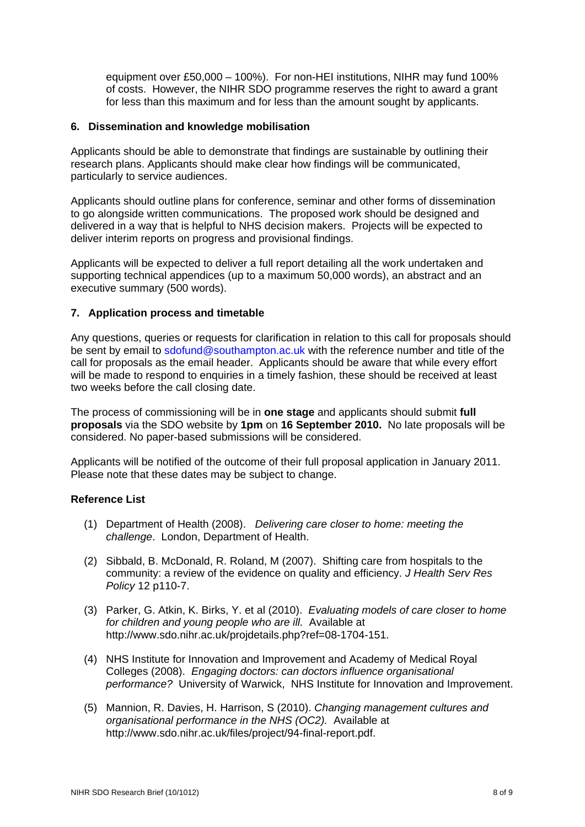equipment over £50,000 – 100%). For non-HEI institutions, NIHR may fund 100% of costs. However, the NIHR SDO programme reserves the right to award a grant for less than this maximum and for less than the amount sought by applicants.

### **6. Dissemination and knowledge mobilisation**

Applicants should be able to demonstrate that findings are sustainable by outlining their research plans. Applicants should make clear how findings will be communicated, particularly to service audiences.

Applicants should outline plans for conference, seminar and other forms of dissemination to go alongside written communications. The proposed work should be designed and delivered in a way that is helpful to NHS decision makers. Projects will be expected to deliver interim reports on progress and provisional findings.

Applicants will be expected to deliver a full report detailing all the work undertaken and supporting technical appendices (up to a maximum 50,000 words), an abstract and an executive summary (500 words).

### **7. Application process and timetable**

Any questions, queries or requests for clarification in relation to this call for proposals should be sent by email to sdofund@southampton.ac.uk with the reference number and title of the call for proposals as the email header. Applicants should be aware that while every effort will be made to respond to enquiries in a timely fashion, these should be received at least two weeks before the call closing date.

The process of commissioning will be in **one stage** and applicants should submit **full proposals** via the SDO website by **1pm** on **16 September 2010.** No late proposals will be considered. No paper-based submissions will be considered.

Applicants will be notified of the outcome of their full proposal application in January 2011. Please note that these dates may be subject to change.

# **Reference List**

- (1) Department of Health (2008). *Delivering care closer to home: meeting the challenge*. London, Department of Health.
- (2) Sibbald, B. McDonald, R. Roland, M (2007). Shifting care from hospitals to the community: a review of the evidence on quality and efficiency. *J Health Serv Res Policy* 12 p110-7.
- (3) Parker, G. Atkin, K. Birks, Y. et al (2010). *Evaluating models of care closer to home for children and young people who are ill.* Available at http://www.sdo.nihr.ac.uk/projdetails.php?ref=08-1704-151.
- (4) NHS Institute for Innovation and Improvement and Academy of Medical Royal Colleges (2008). *Engaging doctors: can doctors influence organisational performance?* University of Warwick, NHS Institute for Innovation and Improvement.
- (5) Mannion, R. Davies, H. Harrison, S (2010). *Changing management cultures and organisational performance in the NHS (OC2).* Available at http://www.sdo.nihr.ac.uk/files/project/94-final-report.pdf.